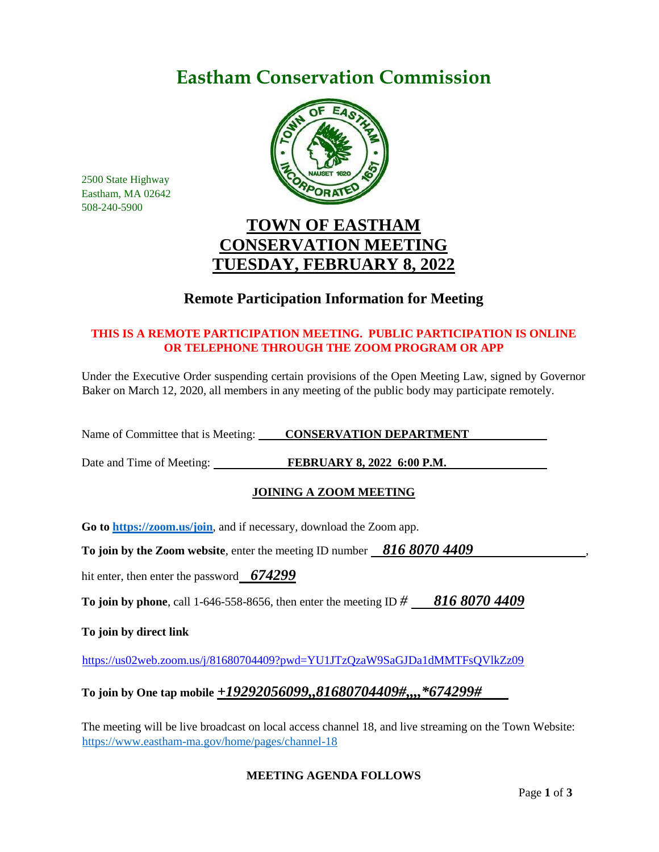# **Eastham Conservation Commission**



2500 State Highway Eastham, MA 02642 508-240-5900

# **TOWN OF EASTHAM CONSERVATION MEETING TUESDAY, FEBRUARY 8, 2022**

# **Remote Participation Information for Meeting**

## **THIS IS A REMOTE PARTICIPATION MEETING. PUBLIC PARTICIPATION IS ONLINE OR TELEPHONE THROUGH THE ZOOM PROGRAM OR APP**

Under the Executive Order suspending certain provisions of the Open Meeting Law, signed by Governor Baker on March 12, 2020, all members in any meeting of the public body may participate remotely.

Name of Committee that is Meeting: **CONSERVATION DEPARTMENT** 

Date and Time of Meeting: **FEBRUARY 8, 2022 6:00 P.M.** 

## **JOINING A ZOOM MEETING**

**Go to<https://zoom.us/join>**, and if necessary, download the Zoom app.

**To join by the Zoom website, enter the meeting ID number 816 8070 4409** 

hit enter, then enter the password *674299*

**To join by phone**, call 1-646-558-8656, then enter the meeting ID *# 816 8070 4409*

**To join by direct link**

<https://us02web.zoom.us/j/81680704409?pwd=YU1JTzQzaW9SaGJDa1dMMTFsQVlkZz09>

## **To join by One tap mobile** *+19292056099,,81680704409#,,,,\*674299#*

The meeting will be live broadcast on local access channel 18, and live streaming on the Town Website: <https://www.eastham-ma.gov/home/pages/channel-18>

### **MEETING AGENDA FOLLOWS**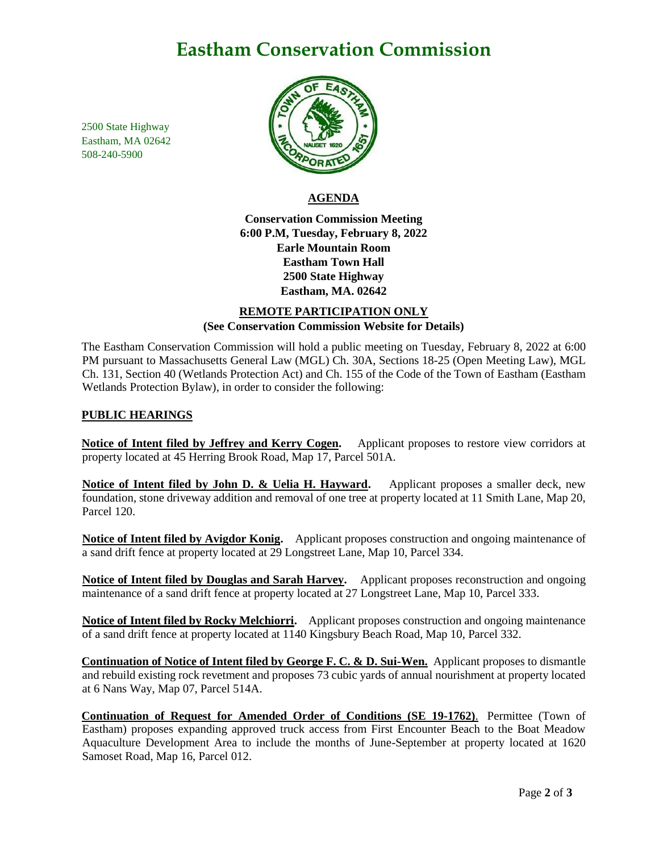# **Eastham Conservation Commission**

2500 State Highway Eastham, MA 02642 508-240-5900



## **AGENDA**

**Conservation Commission Meeting 6:00 P.M, Tuesday, February 8, 2022 Earle Mountain Room Eastham Town Hall 2500 State Highway Eastham, MA. 02642**

### **REMOTE PARTICIPATION ONLY (See Conservation Commission Website for Details)**

The Eastham Conservation Commission will hold a public meeting on Tuesday, February 8, 2022 at 6:00 PM pursuant to Massachusetts General Law (MGL) Ch. 30A, Sections 18-25 (Open Meeting Law), MGL Ch. 131, Section 40 (Wetlands Protection Act) and Ch. 155 of the Code of the Town of Eastham (Eastham Wetlands Protection Bylaw), in order to consider the following:

#### **PUBLIC HEARINGS**

**Notice of Intent filed by Jeffrey and Kerry Cogen.** Applicant proposes to restore view corridors at property located at 45 Herring Brook Road, Map 17, Parcel 501A.

**Notice of Intent filed by John D. & Uelia H. Hayward.** Applicant proposes a smaller deck, new foundation, stone driveway addition and removal of one tree at property located at 11 Smith Lane, Map 20, Parcel 120.

**Notice of Intent filed by Avigdor Konig.** Applicant proposes construction and ongoing maintenance of a sand drift fence at property located at 29 Longstreet Lane, Map 10, Parcel 334.

**Notice of Intent filed by Douglas and Sarah Harvey.** Applicant proposes reconstruction and ongoing maintenance of a sand drift fence at property located at 27 Longstreet Lane, Map 10, Parcel 333.

**Notice of Intent filed by Rocky Melchiorri.** Applicant proposes construction and ongoing maintenance of a sand drift fence at property located at 1140 Kingsbury Beach Road, Map 10, Parcel 332.

**Continuation of Notice of Intent filed by George F. C. & D. Sui-Wen.** Applicant proposes to dismantle and rebuild existing rock revetment and proposes 73 cubic yards of annual nourishment at property located at 6 Nans Way, Map 07, Parcel 514A.

**Continuation of Request for Amended Order of Conditions (SE 19-1762)**. Permittee (Town of Eastham) proposes expanding approved truck access from First Encounter Beach to the Boat Meadow Aquaculture Development Area to include the months of June-September at property located at 1620 Samoset Road, Map 16, Parcel 012.